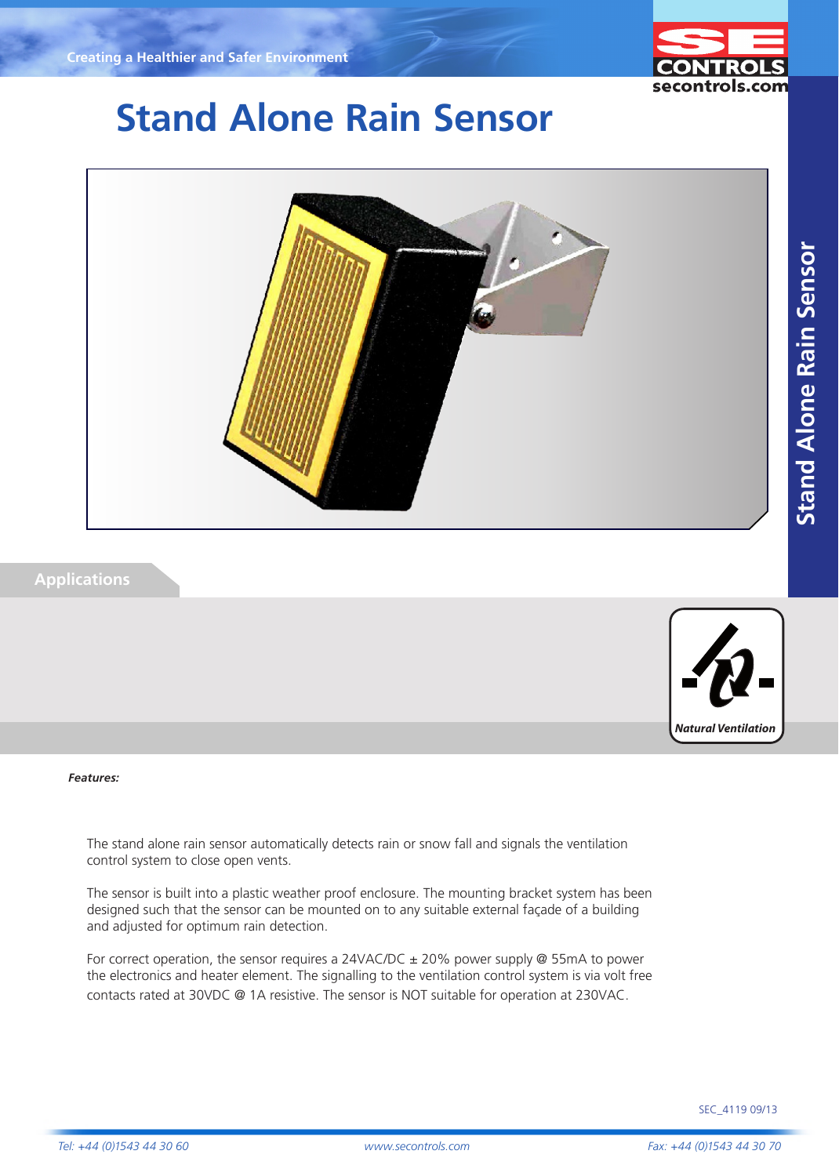

# **Stand Alone Rain Sensor**



### **Applications**



#### *Features:*

The stand alone rain sensor automatically detects rain or snow fall and signals the ventilation control system to close open vents.

The sensor is built into a plastic weather proof enclosure. The mounting bracket system has been designed such that the sensor can be mounted on to any suitable external façade of a building and adjusted for optimum rain detection.

For correct operation, the sensor requires a 24VAC/DC  $\pm$  20% power supply @ 55mA to power the electronics and heater element. The signalling to the ventilation control system is via volt free contacts rated at 30VDC @ 1A resistive. The sensor is NOT suitable for operation at 230VAC.

SEC\_4119 09/13